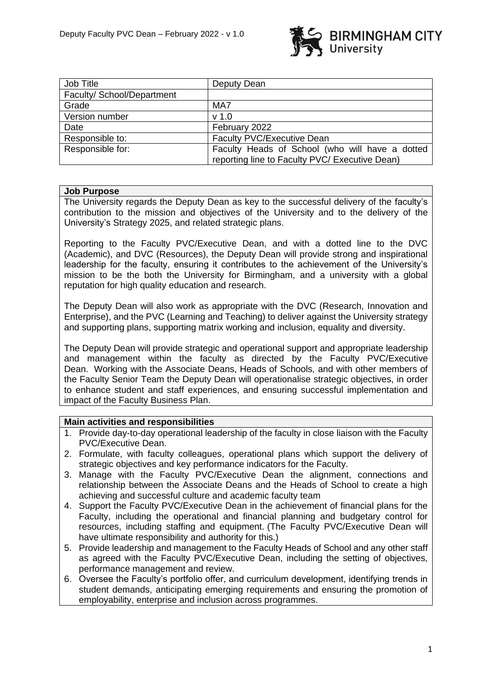

| Job Title                  | Deputy Dean                                     |
|----------------------------|-------------------------------------------------|
| Faculty/ School/Department |                                                 |
| Grade                      | MA7                                             |
| Version number             | v <sub>1.0</sub>                                |
| Date                       | February 2022                                   |
| Responsible to:            | Faculty PVC/Executive Dean                      |
| Responsible for:           | Faculty Heads of School (who will have a dotted |
|                            | reporting line to Faculty PVC/ Executive Dean)  |

### **Job Purpose**

The University regards the Deputy Dean as key to the successful delivery of the faculty's contribution to the mission and objectives of the University and to the delivery of the University's Strategy 2025, and related strategic plans.

Reporting to the Faculty PVC/Executive Dean, and with a dotted line to the DVC (Academic), and DVC (Resources), the Deputy Dean will provide strong and inspirational leadership for the faculty, ensuring it contributes to the achievement of the University's mission to be the both the University for Birmingham, and a university with a global reputation for high quality education and research.

The Deputy Dean will also work as appropriate with the DVC (Research, Innovation and Enterprise), and the PVC (Learning and Teaching) to deliver against the University strategy and supporting plans, supporting matrix working and inclusion, equality and diversity.

The Deputy Dean will provide strategic and operational support and appropriate leadership and management within the faculty as directed by the Faculty PVC/Executive Dean. Working with the Associate Deans, Heads of Schools, and with other members of the Faculty Senior Team the Deputy Dean will operationalise strategic objectives, in order to enhance student and staff experiences, and ensuring successful implementation and impact of the Faculty Business Plan.

#### **Main activities and responsibilities**

- 1. Provide day-to-day operational leadership of the faculty in close liaison with the Faculty PVC/Executive Dean.
- 2. Formulate, with faculty colleagues, operational plans which support the delivery of strategic objectives and key performance indicators for the Faculty.
- 3. Manage with the Faculty PVC/Executive Dean the alignment, connections and relationship between the Associate Deans and the Heads of School to create a high achieving and successful culture and academic faculty team
- 4. Support the Faculty PVC/Executive Dean in the achievement of financial plans for the Faculty, including the operational and financial planning and budgetary control for resources, including staffing and equipment. (The Faculty PVC/Executive Dean will have ultimate responsibility and authority for this.)
- 5. Provide leadership and management to the Faculty Heads of School and any other staff as agreed with the Faculty PVC/Executive Dean, including the setting of objectives, performance management and review.
- 6. Oversee the Faculty's portfolio offer, and curriculum development, identifying trends in student demands, anticipating emerging requirements and ensuring the promotion of employability, enterprise and inclusion across programmes.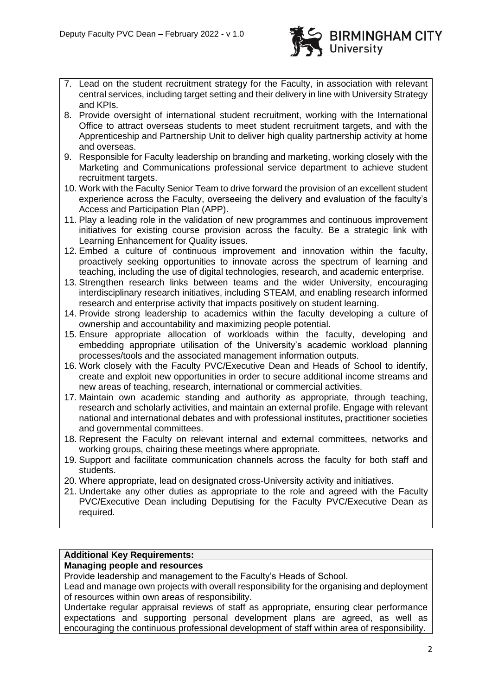

- 7. Lead on the student recruitment strategy for the Faculty, in association with relevant central services, including target setting and their delivery in line with University Strategy and KPIs.
- 8. Provide oversight of international student recruitment, working with the International Office to attract overseas students to meet student recruitment targets, and with the Apprenticeship and Partnership Unit to deliver high quality partnership activity at home and overseas.
- 9. Responsible for Faculty leadership on branding and marketing, working closely with the Marketing and Communications professional service department to achieve student recruitment targets.
- 10. Work with the Faculty Senior Team to drive forward the provision of an excellent student experience across the Faculty, overseeing the delivery and evaluation of the faculty's Access and Participation Plan (APP).
- 11. Play a leading role in the validation of new programmes and continuous improvement initiatives for existing course provision across the faculty. Be a strategic link with Learning Enhancement for Quality issues.
- 12. Embed a culture of continuous improvement and innovation within the faculty, proactively seeking opportunities to innovate across the spectrum of learning and teaching, including the use of digital technologies, research, and academic enterprise.
- 13. Strengthen research links between teams and the wider University, encouraging interdisciplinary research initiatives, including STEAM, and enabling research informed research and enterprise activity that impacts positively on student learning.
- 14. Provide strong leadership to academics within the faculty developing a culture of ownership and accountability and maximizing people potential.
- 15. Ensure appropriate allocation of workloads within the faculty, developing and embedding appropriate utilisation of the University's academic workload planning processes/tools and the associated management information outputs.
- 16. Work closely with the Faculty PVC/Executive Dean and Heads of School to identify, create and exploit new opportunities in order to secure additional income streams and new areas of teaching, research, international or commercial activities.
- 17. Maintain own academic standing and authority as appropriate, through teaching, research and scholarly activities, and maintain an external profile. Engage with relevant national and international debates and with professional institutes, practitioner societies and governmental committees.
- 18. Represent the Faculty on relevant internal and external committees, networks and working groups, chairing these meetings where appropriate.
- 19. Support and facilitate communication channels across the faculty for both staff and students.
- 20. Where appropriate, lead on designated cross-University activity and initiatives.
- 21. Undertake any other duties as appropriate to the role and agreed with the Faculty PVC/Executive Dean including Deputising for the Faculty PVC/Executive Dean as required.

# **Additional Key Requirements:**

### **Managing people and resources**

Provide leadership and management to the Faculty's Heads of School.

Lead and manage own projects with overall responsibility for the organising and deployment of resources within own areas of responsibility.

Undertake regular appraisal reviews of staff as appropriate, ensuring clear performance expectations and supporting personal development plans are agreed, as well as encouraging the continuous professional development of staff within area of responsibility.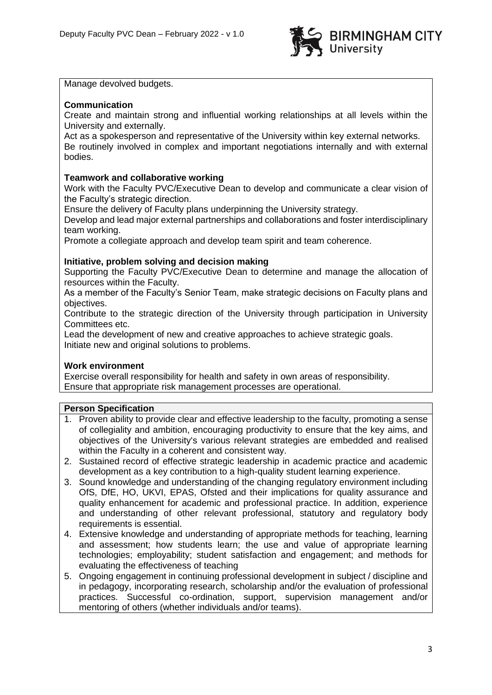

Manage devolved budgets.

### **Communication**

Create and maintain strong and influential working relationships at all levels within the University and externally.

Act as a spokesperson and representative of the University within key external networks. Be routinely involved in complex and important negotiations internally and with external bodies.

## **Teamwork and collaborative working**

Work with the Faculty PVC/Executive Dean to develop and communicate a clear vision of the Faculty's strategic direction.

Ensure the delivery of Faculty plans underpinning the University strategy.

Develop and lead major external partnerships and collaborations and foster interdisciplinary team working.

Promote a collegiate approach and develop team spirit and team coherence.

### **Initiative, problem solving and decision making**

Supporting the Faculty PVC/Executive Dean to determine and manage the allocation of resources within the Faculty.

As a member of the Faculty's Senior Team, make strategic decisions on Faculty plans and objectives.

Contribute to the strategic direction of the University through participation in University Committees etc.

Lead the development of new and creative approaches to achieve strategic goals. Initiate new and original solutions to problems.

### **Work environment**

Exercise overall responsibility for health and safety in own areas of responsibility. Ensure that appropriate risk management processes are operational.

### **Person Specification**

- 1. Proven ability to provide clear and effective leadership to the faculty, promoting a sense of collegiality and ambition, encouraging productivity to ensure that the key aims, and objectives of the University's various relevant strategies are embedded and realised within the Faculty in a coherent and consistent way.
- 2. Sustained record of effective strategic leadership in academic practice and academic development as a key contribution to a high-quality student learning experience.
- 3. Sound knowledge and understanding of the changing regulatory environment including OfS, DfE, HO, UKVI, EPAS, Ofsted and their implications for quality assurance and quality enhancement for academic and professional practice. In addition, experience and understanding of other relevant professional, statutory and regulatory body requirements is essential.
- 4. Extensive knowledge and understanding of appropriate methods for teaching, learning and assessment; how students learn; the use and value of appropriate learning technologies; employability; student satisfaction and engagement; and methods for evaluating the effectiveness of teaching
- 5. Ongoing engagement in continuing professional development in subject / discipline and in pedagogy, incorporating research, scholarship and/or the evaluation of professional practices. Successful co-ordination, support, supervision management and/or mentoring of others (whether individuals and/or teams).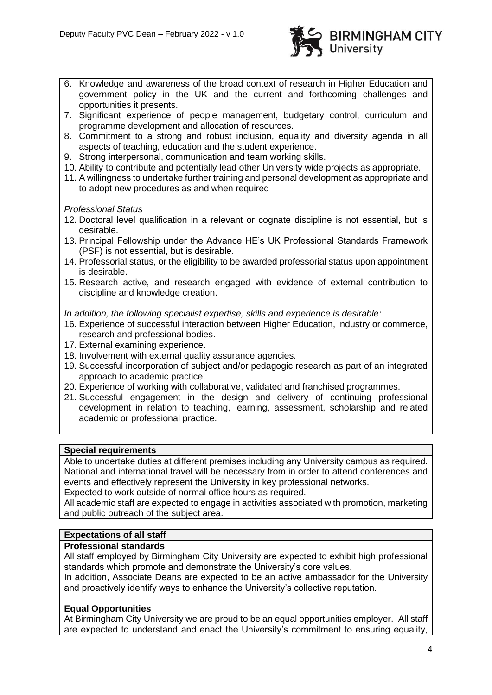

- 6. Knowledge and awareness of the broad context of research in Higher Education and government policy in the UK and the current and forthcoming challenges and opportunities it presents.
- 7. Significant experience of people management, budgetary control, curriculum and programme development and allocation of resources.
- 8. Commitment to a strong and robust inclusion, equality and diversity agenda in all aspects of teaching, education and the student experience.
- 9. Strong interpersonal, communication and team working skills.
- 10. Ability to contribute and potentially lead other University wide projects as appropriate.
- 11. A willingness to undertake further training and personal development as appropriate and to adopt new procedures as and when required

#### *Professional Status*

- 12. Doctoral level qualification in a relevant or cognate discipline is not essential, but is desirable.
- 13. Principal Fellowship under the Advance HE's UK Professional Standards Framework (PSF) is not essential, but is desirable.
- 14. Professorial status, or the eligibility to be awarded professorial status upon appointment is desirable.
- 15. Research active, and research engaged with evidence of external contribution to discipline and knowledge creation.

*In addition, the following specialist expertise, skills and experience is desirable:*

- 16. Experience of successful interaction between Higher Education, industry or commerce, research and professional bodies.
- 17. External examining experience.
- 18. Involvement with external quality assurance agencies.
- 19. Successful incorporation of subject and/or pedagogic research as part of an integrated approach to academic practice.
- 20. Experience of working with collaborative, validated and franchised programmes.
- 21. Successful engagement in the design and delivery of continuing professional development in relation to teaching, learning, assessment, scholarship and related academic or professional practice.

#### **Special requirements**

Able to undertake duties at different premises including any University campus as required. National and international travel will be necessary from in order to attend conferences and events and effectively represent the University in key professional networks.

Expected to work outside of normal office hours as required.

All academic staff are expected to engage in activities associated with promotion, marketing and public outreach of the subject area.

# **Expectations of all staff**

### **Professional standards**

All staff employed by Birmingham City University are expected to exhibit high professional standards which promote and demonstrate the University's core values.

In addition, Associate Deans are expected to be an active ambassador for the University and proactively identify ways to enhance the University's collective reputation.

### **Equal Opportunities**

At Birmingham City University we are proud to be an equal opportunities employer. All staff are expected to understand and enact the University's commitment to ensuring equality,